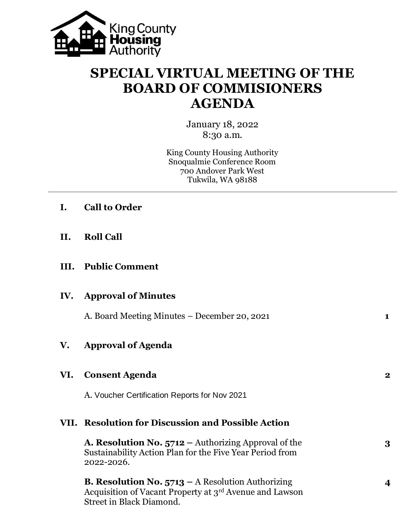

## **SPECIAL VIRTUAL MEETING OF THE BOARD OF COMMISIONERS AGENDA**

January 18, 2022 8:30 a.m.

King County Housing Authority Snoqualmie Conference Room 700 Andover Park West Tukwila, WA 98188

| I. |  | <b>Call to Order</b> |
|----|--|----------------------|
|    |  |                      |

**II. Roll Call**

## **III. Public Comment**

|     | <b>IV.</b> Approval of Minutes               |   |
|-----|----------------------------------------------|---|
|     | A. Board Meeting Minutes – December 20, 2021 | 1 |
| V.  | <b>Approval of Agenda</b>                    |   |
| VI. | <b>Consent Agenda</b>                        | 2 |

A. Voucher Certification Reports for Nov 2021

## **VII. Resolution for Discussion and Possible Action**

**A. Resolution No. 5712 –** Authorizing Approval of the **3** Sustainability Action Plan for the Five Year Period from 2022-2026.

**B. Resolution No. 5713 –** A Resolution Authorizing **4** Acquisition of Vacant Property at 3rd Avenue and Lawson Street in Black Diamond.